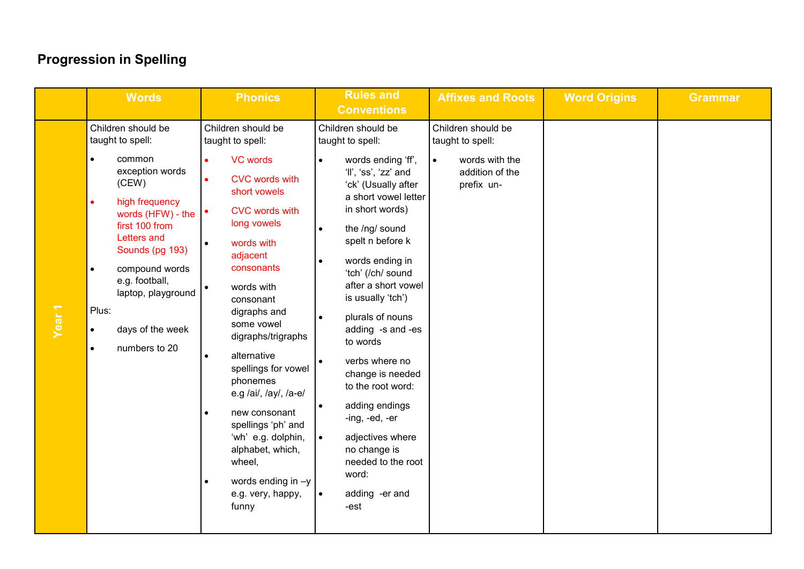|                   | <b>Words</b>                                                                                                                                                                                                                                                                                              | <b>Phonics</b>                                                                                                                                                                                                                                                                                                                                                                                                                                                                                                          | <b>Rules and</b><br><b>Conventions</b>                                                                                                                                                                                                                                                                                                                                                                                                                                                                                                                                                             | <b>Affixes and Roots</b>                                                                               | <b>Word Origins</b> | <b>Grammar</b> |
|-------------------|-----------------------------------------------------------------------------------------------------------------------------------------------------------------------------------------------------------------------------------------------------------------------------------------------------------|-------------------------------------------------------------------------------------------------------------------------------------------------------------------------------------------------------------------------------------------------------------------------------------------------------------------------------------------------------------------------------------------------------------------------------------------------------------------------------------------------------------------------|----------------------------------------------------------------------------------------------------------------------------------------------------------------------------------------------------------------------------------------------------------------------------------------------------------------------------------------------------------------------------------------------------------------------------------------------------------------------------------------------------------------------------------------------------------------------------------------------------|--------------------------------------------------------------------------------------------------------|---------------------|----------------|
| Year <sub>1</sub> | Children should be<br>taught to spell:<br>common<br>exception words<br>(CEW)<br>high frequency<br>$\bullet$<br>words (HFW) - the<br>first 100 from<br>Letters and<br>Sounds (pg 193)<br>compound words<br>e.g. football,<br>laptop, playground<br>Plus:<br>days of the week<br>numbers to 20<br>$\bullet$ | Children should be<br>taught to spell:<br><b>VC words</b><br><b>CVC</b> words with<br>short vowels<br><b>CVC</b> words with<br>long vowels<br>words with<br>$\bullet$<br>adjacent<br>consonants<br>words with<br>consonant<br>digraphs and<br>some vowel<br>digraphs/trigraphs<br>alternative<br>spellings for vowel<br>phonemes<br>e.g /ai/, /ay/, /a-e/<br>new consonant<br>$\bullet$<br>spellings 'ph' and<br>'wh' e.g. dolphin,<br>alphabet, which,<br>wheel,<br>words ending in $-y$<br>e.g. very, happy,<br>funny | Children should be<br>taught to spell:<br>words ending 'ff',<br>'ll', 'ss', 'zz' and<br>'ck' (Usually after<br>a short vowel letter<br>in short words)<br>the /ng/ sound<br>$\bullet$<br>spelt n before k<br>words ending in<br>$\bullet$<br>'tch' (/ch/ sound<br>after a short vowel<br>is usually 'tch')<br>plurals of nouns<br>$\bullet$<br>adding -s and -es<br>to words<br>verbs where no<br>change is needed<br>to the root word:<br>adding endings<br>-ing, -ed, -er<br>$\bullet$<br>adjectives where<br>no change is<br>needed to the root<br>word:<br>adding -er and<br>$\bullet$<br>-est | Children should be<br>taught to spell:<br>words with the<br>$\bullet$<br>addition of the<br>prefix un- |                     |                |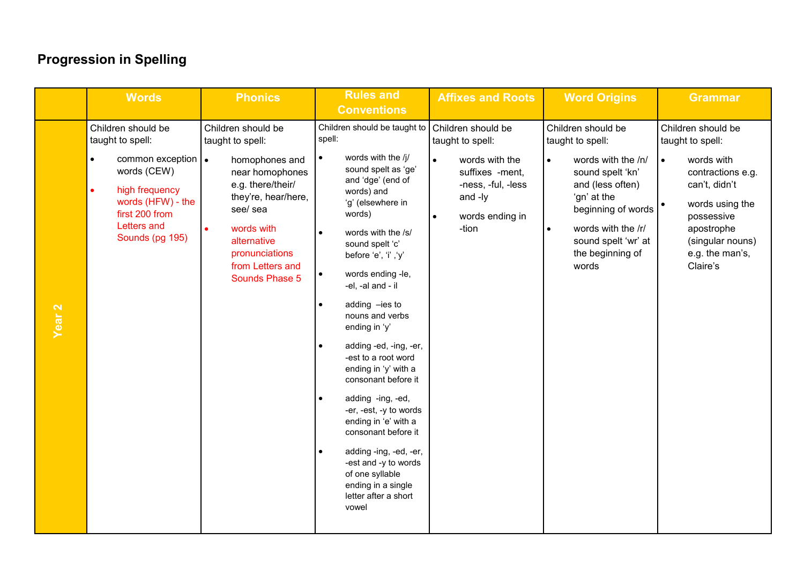|                   | <b>Words</b>                                                                                                                                                                              | <b>Phonics</b>                                                                                                                                                                                                           | <b>Rules and</b><br><b>Conventions</b>                                                                                                                                                                                                                                                                                                                                                                                                                                                                                                                                                                                                                              | <b>Affixes and Roots</b>                                                                                                                     | <b>Word Origins</b>                                                                                                                                                                                                                           | <b>Grammar</b>                                                                                                                                                                                                         |
|-------------------|-------------------------------------------------------------------------------------------------------------------------------------------------------------------------------------------|--------------------------------------------------------------------------------------------------------------------------------------------------------------------------------------------------------------------------|---------------------------------------------------------------------------------------------------------------------------------------------------------------------------------------------------------------------------------------------------------------------------------------------------------------------------------------------------------------------------------------------------------------------------------------------------------------------------------------------------------------------------------------------------------------------------------------------------------------------------------------------------------------------|----------------------------------------------------------------------------------------------------------------------------------------------|-----------------------------------------------------------------------------------------------------------------------------------------------------------------------------------------------------------------------------------------------|------------------------------------------------------------------------------------------------------------------------------------------------------------------------------------------------------------------------|
| Year <sub>2</sub> | Children should be<br>taught to spell:<br>common exception $\cdot$<br>words (CEW)<br>high frequency<br>$\bullet$<br>words (HFW) - the<br>first 200 from<br>Letters and<br>Sounds (pg 195) | Children should be<br>taught to spell:<br>homophones and<br>near homophones<br>e.g. there/their/<br>they're, hear/here,<br>see/ sea<br>words with<br>alternative<br>pronunciations<br>from Letters and<br>Sounds Phase 5 | Children should be taught to Children should be<br>spell:<br>words with the /j/<br>sound spelt as 'ge'<br>and 'dge' (end of<br>words) and<br>'g' (elsewhere in<br>words)<br>words with the /s/<br>sound spelt 'c'<br>before 'e', 'i' ,'y'<br>words ending -le,<br>-el, -al and - il<br>adding -ies to<br>nouns and verbs<br>ending in 'y'<br>adding -ed, -ing, -er,<br>-est to a root word<br>ending in 'y' with a<br>consonant before it<br>adding -ing, -ed,<br>-er, -est, -y to words<br>ending in 'e' with a<br>consonant before it<br>adding -ing, -ed, -er,<br>-est and -y to words<br>of one syllable<br>ending in a single<br>letter after a short<br>vowel | taught to spell:<br>words with the<br>$\bullet$<br>suffixes -ment,<br>-ness, -ful, -less<br>and -ly<br>words ending in<br>$\bullet$<br>-tion | Children should be<br>taught to spell:<br>words with the /n/<br>$\bullet$<br>sound spelt 'kn'<br>and (less often)<br>'gn' at the<br>beginning of words<br>words with the /r/<br>$\bullet$<br>sound spelt 'wr' at<br>the beginning of<br>words | Children should be<br>taught to spell:<br>words with<br>$\bullet$<br>contractions e.g.<br>can't, didn't<br>words using the<br>$\bullet$<br>possessive<br>apostrophe<br>(singular nouns)<br>e.g. the man's,<br>Claire's |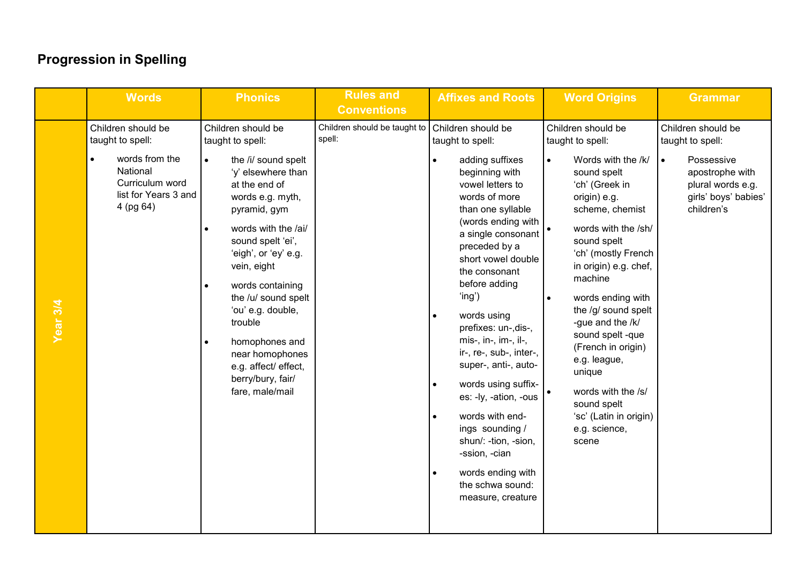|          | <b>Words</b>                                                                                                                 | <b>Phonics</b>                                                                                                                                                                                                                                                                                                                                                                                                           | <b>Rules and</b><br><b>Conventions</b> | <b>Affixes and Roots</b>                                                                                                                                                                                                                                                                                                                                                                                                                                                                                                                                                            | <b>Word Origins</b>                                                                                                                                                                                                                                                                                                                                                                                                                                                                                   | <b>Grammar</b>                                                                                                                                  |
|----------|------------------------------------------------------------------------------------------------------------------------------|--------------------------------------------------------------------------------------------------------------------------------------------------------------------------------------------------------------------------------------------------------------------------------------------------------------------------------------------------------------------------------------------------------------------------|----------------------------------------|-------------------------------------------------------------------------------------------------------------------------------------------------------------------------------------------------------------------------------------------------------------------------------------------------------------------------------------------------------------------------------------------------------------------------------------------------------------------------------------------------------------------------------------------------------------------------------------|-------------------------------------------------------------------------------------------------------------------------------------------------------------------------------------------------------------------------------------------------------------------------------------------------------------------------------------------------------------------------------------------------------------------------------------------------------------------------------------------------------|-------------------------------------------------------------------------------------------------------------------------------------------------|
| Year 3/4 | Children should be<br>taught to spell:<br>words from the<br>National<br>Curriculum word<br>list for Years 3 and<br>4 (pg 64) | Children should be<br>taught to spell:<br>the /i/ sound spelt<br>$\bullet$<br>'y' elsewhere than<br>at the end of<br>words e.g. myth,<br>pyramid, gym<br>words with the /ai/<br>sound spelt 'ei',<br>'eigh', or 'ey' e.g.<br>vein, eight<br>words containing<br>the /u/ sound spelt<br>'ou' e.g. double,<br>trouble<br>homophones and<br>near homophones<br>e.g. affect/ effect,<br>berry/bury, fair/<br>fare, male/mail | Children should be taught to<br>spell: | Children should be<br>taught to spell:<br>adding suffixes<br>beginning with<br>vowel letters to<br>words of more<br>than one syllable<br>(words ending with<br>a single consonant<br>preceded by a<br>short vowel double<br>the consonant<br>before adding<br>'ing')<br>words using<br>prefixes: un-, dis-,<br>mis-, in-, im-, il-,<br>ir-, re-, sub-, inter-,<br>super-, anti-, auto-<br>words using suffix-<br>es: -ly, -ation, -ous<br>words with end-<br>ings sounding /<br>shun/: -tion, -sion,<br>-ssion, -cian<br>words ending with<br>the schwa sound:<br>measure, creature | Children should be<br>taught to spell:<br>Words with the /k/<br>$\bullet$<br>sound spelt<br>'ch' (Greek in<br>origin) e.g.<br>scheme, chemist<br>words with the /sh/<br>$\bullet$<br>sound spelt<br>'ch' (mostly French<br>in origin) e.g. chef,<br>machine<br>words ending with<br>$\bullet$<br>the /g/ sound spelt<br>-gue and the /k/<br>sound spelt -que<br>(French in origin)<br>e.g. league,<br>unique<br>words with the /s/<br>sound spelt<br>'sc' (Latin in origin)<br>e.g. science,<br>scene | Children should be<br>taught to spell:<br>Possessive<br>$\bullet$<br>apostrophe with<br>plural words e.g.<br>girls' boys' babies'<br>children's |